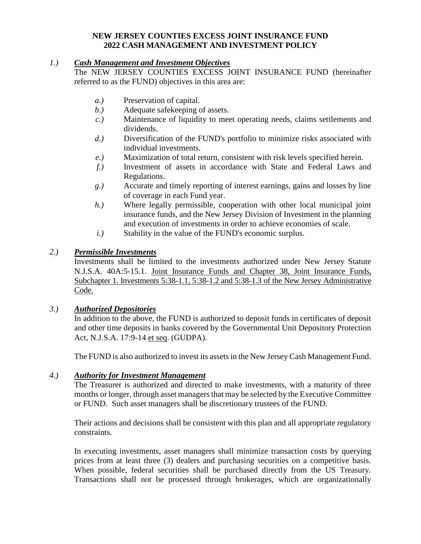## **NEW JERSEY COUNTIES EXCESS JOINT INSURANCE FUND 2022 CASH MANAGEMENT AND INVESTMENT POLICY**

## *1.) Cash Management and Investment Objectives*

The NEW JERSEY COUNTIES EXCESS JOINT INSURANCE FUND (hereinafter referred to as the FUND) objectives in this area are:

- *a.)* Preservation of capital.
- *b.)* Adequate safekeeping of assets.
- *c.)* Maintenance of liquidity to meet operating needs, claims settlements and dividends.
- *d.)* Diversification of the FUND's portfolio to minimize risks associated with individual investments.
- *e.)* Maximization of total return, consistent with risk levels specified herein.
- *f.)* Investment of assets in accordance with State and Federal Laws and Regulations.
- *g.)* Accurate and timely reporting of interest earnings, gains and losses by line of coverage in each Fund year.
- *h.)* Where legally permissible, cooperation with other local municipal joint insurance funds, and the New Jersey Division of Investment in the planning and execution of investments in order to achieve economies of scale.
- *i.)* Stability in the value of the FUND's economic surplus.

## *2.) Permissible Investments*

Investments shall be limited to the investments authorized under New Jersey Statute N.J.S.A. 40A:5-15.1. Joint Insurance Funds and Chapter 38, Joint Insurance Funds, Subchapter 1. Investments 5:38-1.1, 5:38-1.2 and 5:38-1.3 of the New Jersey Administrative Code.

### *3.) Authorized Depositories*

In addition to the above, the FUND is authorized to deposit funds in certificates of deposit and other time deposits in banks covered by the Governmental Unit Depository Protection Act, N.J.S.A. 17:9-14 et seq. (GUDPA).

The FUND is also authorized to invest its assets in the New Jersey Cash Management Fund.

### *4.) Authority for Investment Management*

The Treasurer is authorized and directed to make investments, with a maturity of three months or longer, through asset managers that may be selected by the Executive Committee or FUND. Such asset managers shall be discretionary trustees of the FUND.

Their actions and decisions shall be consistent with this plan and all appropriate regulatory constraints.

In executing investments, asset managers shall minimize transaction costs by querying prices from at least three (3) dealers and purchasing securities on a competitive basis. When possible, federal securities shall be purchased directly from the US Treasury. Transactions shall not be processed through brokerages, which are organizationally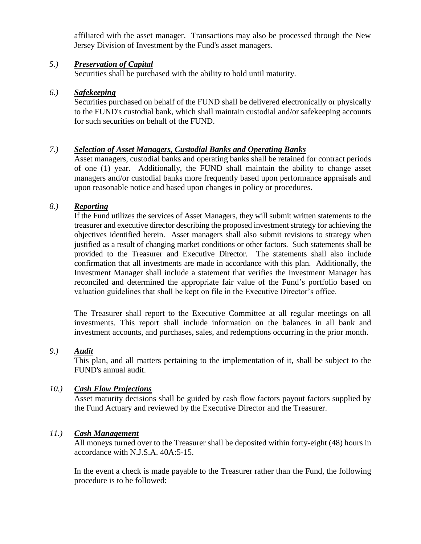affiliated with the asset manager. Transactions may also be processed through the New Jersey Division of Investment by the Fund's asset managers.

# *5.) Preservation of Capital*

Securities shall be purchased with the ability to hold until maturity.

# *6.) Safekeeping*

Securities purchased on behalf of the FUND shall be delivered electronically or physically to the FUND's custodial bank, which shall maintain custodial and/or safekeeping accounts for such securities on behalf of the FUND.

## *7.) Selection of Asset Managers, Custodial Banks and Operating Banks*

Asset managers, custodial banks and operating banks shall be retained for contract periods of one (1) year. Additionally, the FUND shall maintain the ability to change asset managers and/or custodial banks more frequently based upon performance appraisals and upon reasonable notice and based upon changes in policy or procedures.

## *8.) Reporting*

If the Fund utilizes the services of Asset Managers, they will submit written statements to the treasurer and executive director describing the proposed investment strategy for achieving the objectives identified herein. Asset managers shall also submit revisions to strategy when justified as a result of changing market conditions or other factors. Such statements shall be provided to the Treasurer and Executive Director. The statements shall also include confirmation that all investments are made in accordance with this plan. Additionally, the Investment Manager shall include a statement that verifies the Investment Manager has reconciled and determined the appropriate fair value of the Fund's portfolio based on valuation guidelines that shall be kept on file in the Executive Director's office.

The Treasurer shall report to the Executive Committee at all regular meetings on all investments. This report shall include information on the balances in all bank and investment accounts, and purchases, sales, and redemptions occurring in the prior month.

# *9.) Audit*

This plan, and all matters pertaining to the implementation of it, shall be subject to the FUND's annual audit.

### *10.) Cash Flow Projections*

Asset maturity decisions shall be guided by cash flow factors payout factors supplied by the Fund Actuary and reviewed by the Executive Director and the Treasurer.

### *11.) Cash Management*

All moneys turned over to the Treasurer shall be deposited within forty-eight (48) hours in accordance with N.J.S.A. 40A:5-15.

In the event a check is made payable to the Treasurer rather than the Fund, the following procedure is to be followed: